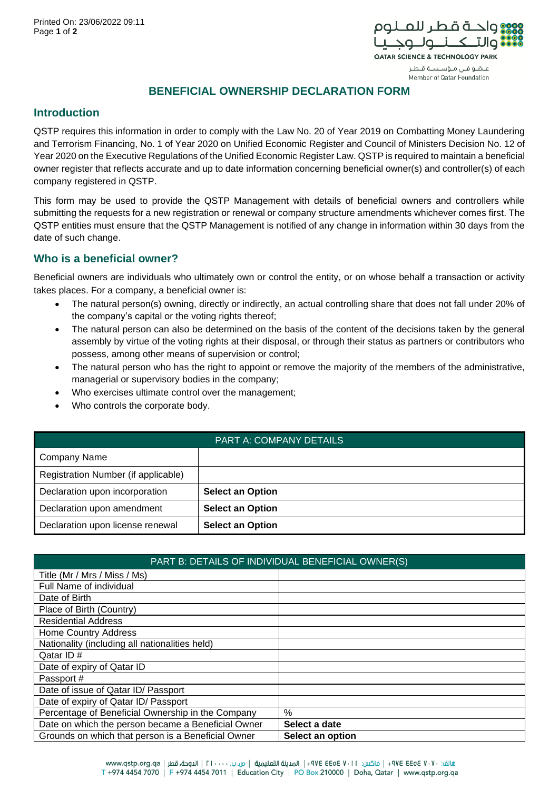

عـضو فـى مـؤسـسـة قـطـر Member of Qatar Foundation

**BENEFICIAL OWNERSHIP DECLARATION FORM**

## **Introduction**

QSTP requires this information in order to comply with the Law No. 20 of Year 2019 on Combatting Money Laundering and Terrorism Financing, No. 1 of Year 2020 on Unified Economic Register and Council of Ministers Decision No. 12 of Year 2020 on the Executive Regulations of the Unified Economic Register Law. QSTP is required to maintain a beneficial owner register that reflects accurate and up to date information concerning beneficial owner(s) and controller(s) of each company registered in QSTP.

This form may be used to provide the QSTP Management with details of beneficial owners and controllers while submitting the requests for a new registration or renewal or company structure amendments whichever comes first. The QSTP entities must ensure that the QSTP Management is notified of any change in information within 30 days from the date of such change.

## **Who is a beneficial owner?**

Beneficial owners are individuals who ultimately own or control the entity, or on whose behalf a transaction or activity takes places. For a company, a beneficial owner is:

- The natural person(s) owning, directly or indirectly, an actual controlling share that does not fall under 20% of the company's capital or the voting rights thereof;
- The natural person can also be determined on the basis of the content of the decisions taken by the general assembly by virtue of the voting rights at their disposal, or through their status as partners or contributors who possess, among other means of supervision or control;
- The natural person who has the right to appoint or remove the majority of the members of the administrative, managerial or supervisory bodies in the company;
- Who exercises ultimate control over the management;
- Who controls the corporate body.

| <b>PART A: COMPANY DETAILS</b>      |                         |  |
|-------------------------------------|-------------------------|--|
| <b>Company Name</b>                 |                         |  |
| Registration Number (if applicable) |                         |  |
| Declaration upon incorporation      | <b>Select an Option</b> |  |
| Declaration upon amendment          | <b>Select an Option</b> |  |
| Declaration upon license renewal    | <b>Select an Option</b> |  |

| PART B: DETAILS OF INDIVIDUAL BENEFICIAL OWNER(S)  |                  |  |
|----------------------------------------------------|------------------|--|
| Title (Mr / Mrs / Miss / Ms)                       |                  |  |
| Full Name of individual                            |                  |  |
| Date of Birth                                      |                  |  |
| Place of Birth (Country)                           |                  |  |
| <b>Residential Address</b>                         |                  |  |
| <b>Home Country Address</b>                        |                  |  |
| Nationality (including all nationalities held)     |                  |  |
| Qatar ID#                                          |                  |  |
| Date of expiry of Qatar ID                         |                  |  |
| Passport #                                         |                  |  |
| Date of issue of Qatar ID/ Passport                |                  |  |
| Date of expiry of Qatar ID/ Passport               |                  |  |
| Percentage of Beneficial Ownership in the Company  | $\frac{0}{0}$    |  |
| Date on which the person became a Beneficial Owner | Select a date    |  |
| Grounds on which that person is a Beneficial Owner | Select an option |  |